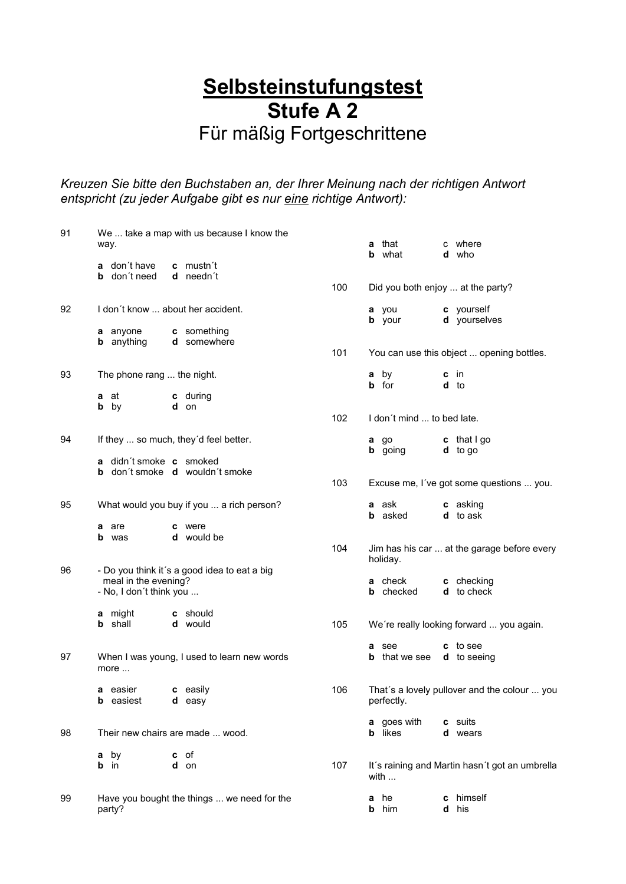## **Selbsteinstufungstest Stufe A 2** Für mäßig Fortgeschrittene

*Kreuzen Sie bitte den Buchstaben an, der Ihrer Meinung nach der richtigen Antwort entspricht (zu jeder Aufgabe gibt es nur eine richtige Antwort):*

| 91 | way. |                                                 | We  take a map with us because I know the    |     |        | <b>a</b> that<br><b>b</b> what                 | c where<br>d who                               |
|----|------|-------------------------------------------------|----------------------------------------------|-----|--------|------------------------------------------------|------------------------------------------------|
|    |      | <b>a</b> don't have                             | c mustn't                                    |     |        |                                                |                                                |
|    |      | <b>b</b> don't need                             | d needn't                                    | 100 |        | Did you both enjoy  at the party?              |                                                |
| 92 |      |                                                 | I don't know  about her accident.            |     |        | a you<br><b>b</b> your                         | c yourself<br>d yourselves                     |
|    |      | a anyone<br><b>b</b> anything                   | c something<br>d somewhere                   | 101 |        |                                                | You can use this object  opening bottles.      |
| 93 |      | The phone rang  the night.                      |                                              |     |        | a by<br><b>b</b> for                           | $c$ in<br>d to                                 |
|    |      | <b>a</b> at<br><b>b</b> by                      | c during<br>d on                             |     |        |                                                |                                                |
|    |      |                                                 |                                              | 102 |        | I don't mind  to bed late.                     |                                                |
| 94 |      |                                                 | If they  so much, they'd feel better.        |     |        | a go<br><b>b</b> going                         | c that I go<br>$d$ to go                       |
|    |      | a didn't smoke c smoked                         | <b>b</b> don't smoke <b>d</b> wouldn't smoke | 103 |        |                                                | Excuse me, I've got some questions  you.       |
| 95 |      |                                                 | What would you buy if you  a rich person?    |     |        | <b>a</b> ask<br><b>b</b> asked                 | <b>c</b> asking<br><b>d</b> to ask             |
|    |      | a are<br><b>b</b> was                           | c were<br>d would be                         | 104 |        |                                                | Jim has his car  at the garage before every    |
| 96 |      | meal in the evening?<br>- No, I don't think you | - Do you think it's a good idea to eat a big |     |        | holiday.<br><b>a</b> check<br><b>b</b> checked | c checking<br><b>d</b> to check                |
|    |      | <b>a</b> might<br><b>b</b> shall                | c should<br><b>d</b> would                   | 105 |        |                                                | We're really looking forward  you again.       |
| 97 |      | more                                            | When I was young, I used to learn new words  |     |        | a see<br><b>b</b> that we see                  | c to see<br><b>d</b> to seeing                 |
|    |      | a easier<br><b>b</b> easiest                    | c easily<br><b>d</b> easy                    | 106 |        | perfectly.                                     | That's a lovely pullover and the colour  you   |
| 98 |      |                                                 | Their new chairs are made  wood.             |     |        | a goes with<br><b>b</b> likes                  | c suits<br><b>d</b> wears                      |
|    |      | a by<br><b>b</b> in                             | <b>c</b> of<br>d on                          | 107 |        | with $\ldots$                                  | It's raining and Martin hasn't got an umbrella |
| 99 |      | party?                                          | Have you bought the things  we need for the  |     | а<br>b | he<br>him                                      | c himself<br>d his                             |